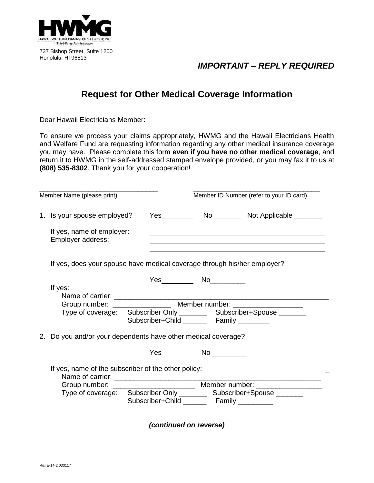

737 Bishop Street, Suite 1200 Honolulu, HI 96813

## *IMPORTANT – REPLY REQUIRED*

## **Request for Other Medical Coverage Information**

Dear Hawaii Electricians Member:

To ensure we process your claims appropriately, HWMG and the Hawaii Electricians Health and Welfare Fund are requesting information regarding any other medical insurance coverage you may have. Please complete this form **even if you have no other medical coverage**, and return it to HWMG in the self-addressed stamped envelope provided, or you may fax it to us at **(808) 535-8302**. Thank you for your cooperation!

| Member Name (please print)                                                       |                                              |  | Member ID Number (refer to your ID card)                                                                                                                  |  |
|----------------------------------------------------------------------------------|----------------------------------------------|--|-----------------------------------------------------------------------------------------------------------------------------------------------------------|--|
| 1. Is your spouse employed?                                                      |                                              |  | Yes No No No No Not Applicable                                                                                                                            |  |
| If yes, name of employer:<br>Employer address:                                   |                                              |  | and the control of the control of the control of the control of the control of the control of the control of the                                          |  |
| If yes, does your spouse have medical coverage through his/her employer?         |                                              |  |                                                                                                                                                           |  |
| If yes:                                                                          | Subscriber+Child Family                      |  | Group number: ________________________ Member number: __________________________<br>Type of coverage: Subscriber Only _________ Subscriber+Spouse _______ |  |
| 2. Do you and/or your dependents have other medical coverage?                    |                                              |  |                                                                                                                                                           |  |
|                                                                                  |                                              |  |                                                                                                                                                           |  |
| If yes, name of the subscriber of the other policy: ____________________________ | Subscriber+Child _________ Family __________ |  | Type of coverage: Subscriber Only __________ Subscriber+Spouse ________                                                                                   |  |

*(continued on reverse)*